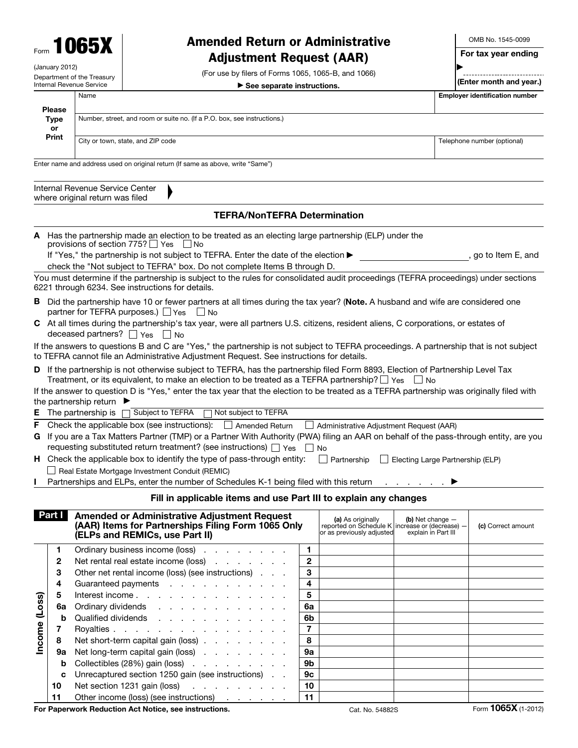

(January 2012) Department of the Treasury Internal Revenue Service

## Amended Return or Administrative Adjustment Request (AAR)

(For use by filers of Forms 1065, 1065-B, and 1066)  $\blacktriangleright$  See separate instructions.

OMB No. 1545-0099 For tax year ending -----------------------------

(Enter month and year.)

▶

|               | Name |                                                                          | <b>Employer identification number</b> |
|---------------|------|--------------------------------------------------------------------------|---------------------------------------|
| <b>Please</b> |      |                                                                          |                                       |
| Type          |      | Number, street, and room or suite no. (If a P.O. box, see instructions.) |                                       |
| or            |      |                                                                          |                                       |
| Print         |      | City or town, state, and ZIP code                                        | Telephone number (optional)           |
|               |      |                                                                          |                                       |

Enter name and address used on original return (If same as above, write "Same")

▲

| Internal Revenue Service Center |
|---------------------------------|
| where original return was filed |

## TEFRA/NonTEFRA Determination

A Has the partnership made an election to be treated as an electing large partnership (ELP) under the provisions of section  $775?$   $\Box$  Yes  $\Box$  No

If "Yes," the partnership is not subject to TEFRA. Enter the date of the election ▶ , go to Item E, and check the "Not subject to TEFRA" box. Do not complete Items B through D.

You must determine if the partnership is subject to the rules for consolidated audit proceedings (TEFRA proceedings) under sections 6221 through 6234. See instructions for details.

- B Did the partnership have 10 or fewer partners at all times during the tax year? (Note. A husband and wife are considered one partner for TEFRA purposes.)  $\Box$  Yes  $\Box$  No
- C At all times during the partnership's tax year, were all partners U.S. citizens, resident aliens, C corporations, or estates of deceased partners?  $\Box$  Yes  $\Box$  No

If the answers to questions B and C are "Yes," the partnership is not subject to TEFRA proceedings. A partnership that is not subject to TEFRA cannot file an Administrative Adjustment Request. See instructions for details.

D If the partnership is not otherwise subject to TEFRA, has the partnership filed Form 8893, Election of Partnership Level Tax Treatment, or its equivalent, to make an election to be treated as a TEFRA partnership?  $\Box$  Yes  $\Box$  No

If the answer to question D is "Yes," enter the tax year that the election to be treated as a TEFRA partnership was originally filed with the partnership return  $\blacktriangleright$ 

|  |  |  | <b>E</b> The partnership is $\Box$ Subject to TEFRA $\Box$ Not subject to TEFRA |
|--|--|--|---------------------------------------------------------------------------------|
|--|--|--|---------------------------------------------------------------------------------|

F Check the applicable box (see instructions):  $\Box$  Amended Return  $\Box$  Administrative Adjustment Request (AAR)

| G If you are a Tax Matters Partner (TMP) or a Partner With Authority (PWA) filing an AAR on behalf of the pass-through entity, are you |
|----------------------------------------------------------------------------------------------------------------------------------------|
| requesting substituted return treatment? (see instructions) $\Box$ Yes $\Box$ No                                                       |

| H Check the applicable box to identify the type of pass-through entity: $\Box$ Partnership $\Box$ Electing Large Partnership (ELP) |  |
|------------------------------------------------------------------------------------------------------------------------------------|--|
| $\Box$ Real Estate Mortgage Investment Conduit (REMIC)                                                                             |  |

Partnerships and ELPs, enter the number of Schedules K-1 being filed with this return . . . . . . . ▶

## Fill in applicable items and use Part III to explain any changes

|        | Part I | <b>Amended or Administrative Adjustment Request</b><br>(AAR) Items for Partnerships Filing Form 1065 Only<br>(ELPs and REMICs, use Part II) |                | (a) As originally<br>reported on Schedule K increase or (decrease) -<br>or as previously adjusted | (b) Net change $-$<br>explain in Part III | (c) Correct amount |
|--------|--------|---------------------------------------------------------------------------------------------------------------------------------------------|----------------|---------------------------------------------------------------------------------------------------|-------------------------------------------|--------------------|
|        |        | Ordinary business income (loss)                                                                                                             |                |                                                                                                   |                                           |                    |
|        | 2      | Net rental real estate income (loss)                                                                                                        | $\mathbf{2}$   |                                                                                                   |                                           |                    |
|        | 3      | Other net rental income (loss) (see instructions)                                                                                           | 3              |                                                                                                   |                                           |                    |
|        | 4      | Guaranteed payments                                                                                                                         | 4              |                                                                                                   |                                           |                    |
|        | 5      | Interest income                                                                                                                             | 5              |                                                                                                   |                                           |                    |
| (Loss) | 6a     | Ordinary dividends                                                                                                                          | 6a             |                                                                                                   |                                           |                    |
|        | b      | Qualified dividends                                                                                                                         | 6b             |                                                                                                   |                                           |                    |
| Income |        | Royalties                                                                                                                                   | $\overline{7}$ |                                                                                                   |                                           |                    |
|        | 8      | Net short-term capital gain (loss)                                                                                                          | 8              |                                                                                                   |                                           |                    |
|        | 9а     | Net long-term capital gain (loss)                                                                                                           | 9а             |                                                                                                   |                                           |                    |
|        | b      | Collectibles (28%) gain (loss)                                                                                                              | 9b             |                                                                                                   |                                           |                    |
|        | C      | Unrecaptured section 1250 gain (see instructions)                                                                                           | 9c             |                                                                                                   |                                           |                    |
|        | 10     | Net section 1231 gain (loss)                                                                                                                | 10             |                                                                                                   |                                           |                    |
|        | 11     | Other income (loss) (see instructions)                                                                                                      | 11             |                                                                                                   |                                           |                    |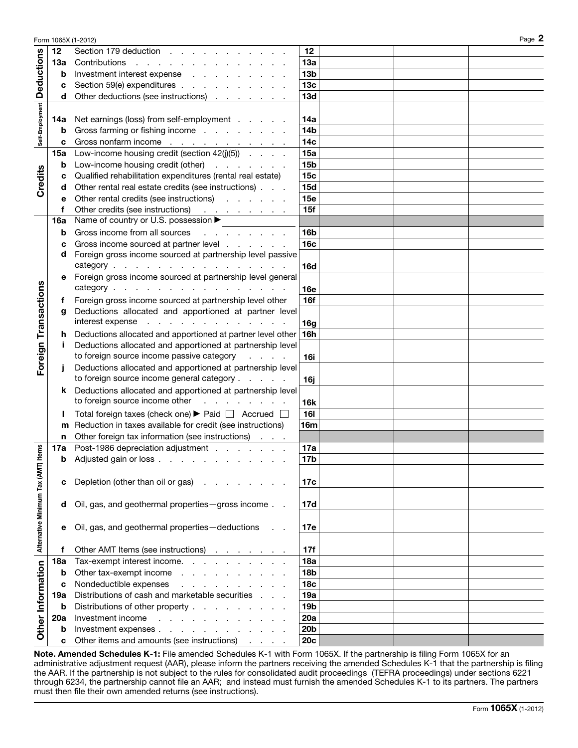|                               |            | Form 1065X (1-2012)                                                                                                         |                 |  | Page 2 |
|-------------------------------|------------|-----------------------------------------------------------------------------------------------------------------------------|-----------------|--|--------|
|                               | 12         | Section 179 deduction                                                                                                       | 12              |  |        |
|                               | 13a        | Contributions                                                                                                               | 13a             |  |        |
|                               | b          | Investment interest expense                                                                                                 | 13 <sub>b</sub> |  |        |
| <b>Deductions</b>             | c          | Section 59(e) expenditures                                                                                                  | 13 <sub>c</sub> |  |        |
|                               | d          | Other deductions (see instructions)                                                                                         | 13d             |  |        |
|                               |            |                                                                                                                             |                 |  |        |
|                               | 14a        | Net earnings (loss) from self-employment                                                                                    | 14a             |  |        |
|                               | b          | Gross farming or fishing income                                                                                             | 14 <sub>b</sub> |  |        |
| Self-Employment               | c          | Gross nonfarm income <u>.</u>                                                                                               | 14 <sub>c</sub> |  |        |
|                               | <b>15a</b> | Low-income housing credit (section $42(j)(5)$ )                                                                             | 15a             |  |        |
|                               | b          | Low-income housing credit (other)                                                                                           | 15 <sub>b</sub> |  |        |
|                               | c          | Qualified rehabilitation expenditures (rental real estate)                                                                  | 15 <sub>c</sub> |  |        |
| Credits                       | d          | Other rental real estate credits (see instructions)                                                                         | <b>15d</b>      |  |        |
|                               | е          | Other rental credits (see instructions)                                                                                     | 15e             |  |        |
|                               | f          | Other credits (see instructions) <u>.</u>                                                                                   | 15f             |  |        |
|                               | <b>16a</b> | Name of country or U.S. possession ▶                                                                                        |                 |  |        |
|                               |            | Gross income from all sources                                                                                               | 16 <sub>b</sub> |  |        |
|                               | b          | and a series of the con-<br>Gross income sourced at partner level                                                           |                 |  |        |
|                               | c<br>d     | Foreign gross income sourced at partnership level passive                                                                   | 16c             |  |        |
|                               |            | category                                                                                                                    |                 |  |        |
|                               |            |                                                                                                                             | 16d             |  |        |
|                               | е          | Foreign gross income sourced at partnership level general<br>category                                                       |                 |  |        |
|                               |            |                                                                                                                             | 16e             |  |        |
|                               | Ť          | Foreign gross income sourced at partnership level other                                                                     | 16f             |  |        |
|                               | g          | Deductions allocated and apportioned at partner level<br>interest expense                                                   |                 |  |        |
| Transactions                  |            |                                                                                                                             | 16g             |  |        |
|                               | h          | Deductions allocated and apportioned at partner level other                                                                 | <b>16h</b>      |  |        |
|                               |            | Deductions allocated and apportioned at partnership level<br>to foreign source income passive category                      |                 |  |        |
| Foreign                       |            |                                                                                                                             | <b>16i</b>      |  |        |
|                               |            | Deductions allocated and apportioned at partnership level<br>to foreign source income general category                      |                 |  |        |
|                               |            |                                                                                                                             | 16j             |  |        |
|                               | ĸ          | Deductions allocated and apportioned at partnership level<br>to foreign source income other<br>and the contract of the con- |                 |  |        |
|                               |            |                                                                                                                             | <b>16k</b>      |  |        |
|                               |            | Total foreign taxes (check one) ▶ Paid   Accrued                                                                            | <b>16I</b>      |  |        |
|                               | m          | Reduction in taxes available for credit (see instructions)                                                                  | 16m             |  |        |
|                               | n.         | Other foreign tax information (see instructions)                                                                            |                 |  |        |
| tems                          |            | 17a Post-1986 depreciation adjustment                                                                                       | 17a             |  |        |
|                               |            | <b>b</b> Adjusted gain or loss                                                                                              | 17 <sub>b</sub> |  |        |
|                               |            |                                                                                                                             |                 |  |        |
|                               | c          | Depletion (other than oil or gas)<br>the contract of the contract of                                                        | 17c             |  |        |
|                               |            |                                                                                                                             |                 |  |        |
|                               | d          | Oil, gas, and geothermal properties - gross income                                                                          | 17d             |  |        |
|                               |            |                                                                                                                             |                 |  |        |
|                               | е          | Oil, gas, and geothermal properties-deductions                                                                              | 17e             |  |        |
| Alternative Minimum Tax (AMT) |            |                                                                                                                             |                 |  |        |
|                               | f          | Other AMT Items (see instructions)                                                                                          | 17f             |  |        |
|                               | <b>18a</b> | Tax-exempt interest income.                                                                                                 | 18a             |  |        |
|                               | b          | Other tax-exempt income                                                                                                     | <b>18b</b>      |  |        |
|                               | c          | Nondeductible expenses<br>and the contract of the contract of                                                               | 18 <sub>c</sub> |  |        |
|                               | 19а        | Distributions of cash and marketable securities                                                                             | 19a             |  |        |
|                               | b          | Distributions of other property                                                                                             | 19b             |  |        |
| Other Information             | 20a        | Investment income<br>and the company of the company of                                                                      | 20a             |  |        |
|                               | b          | Investment expenses                                                                                                         | 20 <sub>b</sub> |  |        |
|                               | C          | Other items and amounts (see instructions)                                                                                  | <b>20c</b>      |  |        |

Note. Amended Schedules K-1: File amended Schedules K-1 with Form 1065X. If the partnership is filing Form 1065X for an administrative adjustment request (AAR), please inform the partners receiving the amended Schedules K-1 that the partnership is filing the AAR. If the partnership is not subject to the rules for consolidated audit proceedings (TEFRA proceedings) under sections 6221 through 6234, the partnership cannot file an AAR; and instead must furnish the amended Schedules K-1 to its partners. The partners must then file their own amended returns (see instructions).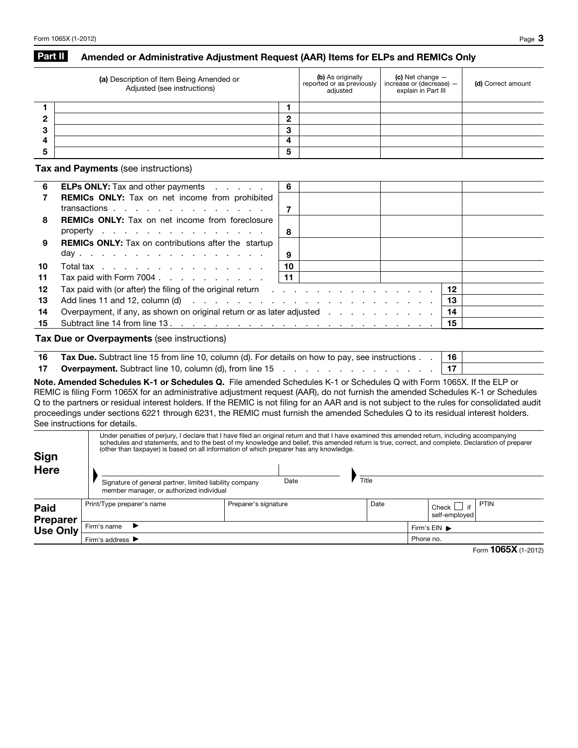## Part II Amended or Administrative Adjustment Request (AAR) Items for ELPs and REMICs Only

|        | (a) Description of Item Being Amended or<br>Adjusted (see instructions) | <b>(b)</b> As originally<br>reported or as previously<br>adjusted | $\vert$ (c) Net change $-$<br>increase or (decrease) $-$<br>explain in Part III | (d) Correct amount |
|--------|-------------------------------------------------------------------------|-------------------------------------------------------------------|---------------------------------------------------------------------------------|--------------------|
|        |                                                                         |                                                                   |                                                                                 |                    |
|        | ◠                                                                       |                                                                   |                                                                                 |                    |
| $\sim$ | ≏<br>P                                                                  |                                                                   |                                                                                 |                    |
|        | 4                                                                       |                                                                   |                                                                                 |                    |
|        | 5                                                                       |                                                                   |                                                                                 |                    |

Tax and Payments (see instructions)

| 6  | <b>ELPs ONLY:</b> Tax and other payments                                                                                     | 6    |  |    |  |
|----|------------------------------------------------------------------------------------------------------------------------------|------|--|----|--|
| 7  | <b>REMICs ONLY:</b> Tax on net income from prohibited                                                                        |      |  |    |  |
|    | transactions                                                                                                                 |      |  |    |  |
| 8  | <b>REMICs ONLY:</b> Tax on net income from foreclosure                                                                       |      |  |    |  |
|    | property $\ldots$ $\ldots$ $\ldots$ $\ldots$ $\ldots$ $\ldots$                                                               | 8    |  |    |  |
| 9  | <b>REMICs ONLY:</b> Tax on contributions after the startup                                                                   |      |  |    |  |
|    | day                                                                                                                          | 9    |  |    |  |
| 10 | Total tax                                                                                                                    | 10   |  |    |  |
| 11 | Tax paid with Form 7004. $\ldots$                                                                                            | l 11 |  |    |  |
| 12 | Tax paid with (or after) the filing of the original return $\cdots$ , $\cdots$ , $\cdots$ , $\cdots$ , $\cdots$ , $\vert$ 12 |      |  |    |  |
| 13 | Add lines 11 and 12, column (d) $\cdots$ $\cdots$ $\cdots$ $\cdots$ $\cdots$ $\cdots$ $\cdots$ $\cdots$ $\cdots$             |      |  | 13 |  |
| 14 | Overpayment, if any, as shown on original return or as later adjusted                                                        |      |  | 14 |  |
| 15 | Subtract line 14 from line 13.                                                                                               |      |  | 15 |  |
|    |                                                                                                                              |      |  |    |  |

Tax Due or Overpayments (see instructions)

| 16 Tax Due. Subtract line 15 from line 10, column (d). For details on how to pay, see instructions. | ∣ 16 |  |
|-----------------------------------------------------------------------------------------------------|------|--|
| 17 Overpayment. Subtract line 10, column (d), from line 15                                          |      |  |

Note. Amended Schedules K-1 or Schedules Q. File amended Schedules K-1 or Schedules Q with Form 1065X. If the ELP or REMIC is filing Form 1065X for an administrative adjustment request (AAR), do not furnish the amended Schedules K-1 or Schedules Q to the partners or residual interest holders. If the REMIC is not filing for an AAR and is not subject to the rules for consolidated audit proceedings under sections 6221 through 6231, the REMIC must furnish the amended Schedules Q to its residual interest holders. See instructions for details.

| Sign<br>Here            |                                                                                                     | Under penalties of perjury, I declare that I have filed an original return and that I have examined this amended return, including accompanying<br>(other than taxpayer) is based on all information of which preparer has any knowledge. |       | schedules and statements, and to the best of my knowledge and belief, this amended return is true, correct, and complete. Declaration of preparer |  |  |
|-------------------------|-----------------------------------------------------------------------------------------------------|-------------------------------------------------------------------------------------------------------------------------------------------------------------------------------------------------------------------------------------------|-------|---------------------------------------------------------------------------------------------------------------------------------------------------|--|--|
|                         | Signature of general partner, limited liability company<br>member manager, or authorized individual | Date                                                                                                                                                                                                                                      | Title |                                                                                                                                                   |  |  |
| Paid<br><b>Preparer</b> | Print/Type preparer's name                                                                          | Preparer's signature                                                                                                                                                                                                                      | Date  | PTIN<br>if<br>Check<br>self-emploved                                                                                                              |  |  |
| <b>Use Only</b>         | Firm's name                                                                                         |                                                                                                                                                                                                                                           |       | Firm's EIN ▶                                                                                                                                      |  |  |
|                         | Phone no.<br>Firm's address ▶                                                                       |                                                                                                                                                                                                                                           |       |                                                                                                                                                   |  |  |

Form **1065X** (1-2012)